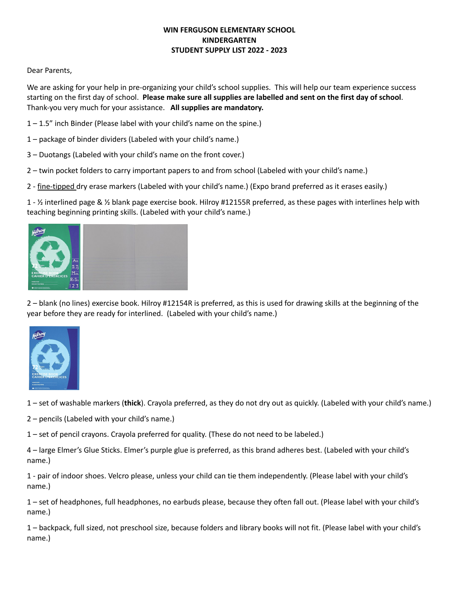## **WIN FERGUSON ELEMENTARY SCHOOL KINDERGARTEN STUDENT SUPPLY LIST 2022 - 2023**

#### Dear Parents,

We are asking for your help in pre-organizing your child's school supplies. This will help our team experience success starting on the first day of school. **Please make sure all supplies are labelled and sent on the first day of school**. Thank-you very much for your assistance. **All supplies are mandatory.**

- 1 1.5" inch Binder (Please label with your child's name on the spine.)
- 1 package of binder dividers (Labeled with your child's name.)
- 3 Duotangs (Labeled with your child's name on the front cover.)
- 2 twin pocket folders to carry important papers to and from school (Labeled with your child's name.)
- 2 fine-tipped dry erase markers (Labeled with your child's name.) (Expo brand preferred as it erases easily.)

1 - ½ interlined page & ½ blank page exercise book. Hilroy #12155R preferred, as these pages with interlines help with teaching beginning printing skills. (Labeled with your child's name.)



2 – blank (no lines) exercise book. Hilroy #12154R is preferred, as this is used for drawing skills at the beginning of the year before they are ready for interlined. (Labeled with your child's name.)



1 – set of washable markers (**thick**). Crayola preferred, as they do not dry out as quickly. (Labeled with your child's name.)

2 – pencils (Labeled with your child's name.)

1 – set of pencil crayons. Crayola preferred for quality. (These do not need to be labeled.)

4 – large Elmer's Glue Sticks. Elmer's purple glue is preferred, as this brand adheres best. (Labeled with your child's name.)

1 - pair of indoor shoes. Velcro please, unless your child can tie them independently. (Please label with your child's name.)

1 – set of headphones, full headphones, no earbuds please, because they often fall out. (Please label with your child's name.)

1 – backpack, full sized, not preschool size, because folders and library books will not fit. (Please label with your child's name.)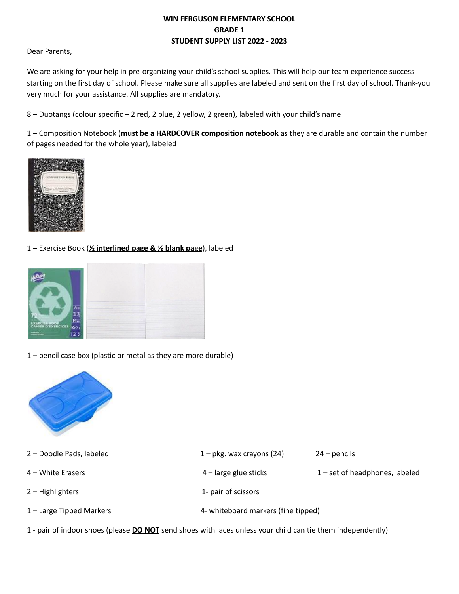# **WIN FERGUSON ELEMENTARY SCHOOL GRADE 1 STUDENT SUPPLY LIST 2022 - 2023**

Dear Parents,

We are asking for your help in pre-organizing your child's school supplies. This will help our team experience success starting on the first day of school. Please make sure all supplies are labeled and sent on the first day of school. Thank-you very much for your assistance. All supplies are mandatory.

8 – Duotangs (colour specific – 2 red, 2 blue, 2 yellow, 2 green), labeled with your child's name

1 – Composition Notebook (**must be a HARDCOVER composition notebook** as they are durable and contain the number of pages needed for the whole year), labeled



1 – Exercise Book (**½ interlined page & ½ blank page**), labeled



1 – pencil case box (plastic or metal as they are more durable)



| 2 - Doodle Pads, labeled | $1 - \text{pkg}$ . wax crayons (24) | $24$ – pencils                   |
|--------------------------|-------------------------------------|----------------------------------|
| 4 – White Erasers        | $4$ – large glue sticks             | $1$ – set of headphones, labeled |
| $2 -$ Highlighters       | 1- pair of scissors                 |                                  |
| 1 – Large Tipped Markers | 4- whiteboard markers (fine tipped) |                                  |
|                          |                                     |                                  |

1 - pair of indoor shoes (please **DO NOT** send shoes with laces unless your child can tie them independently)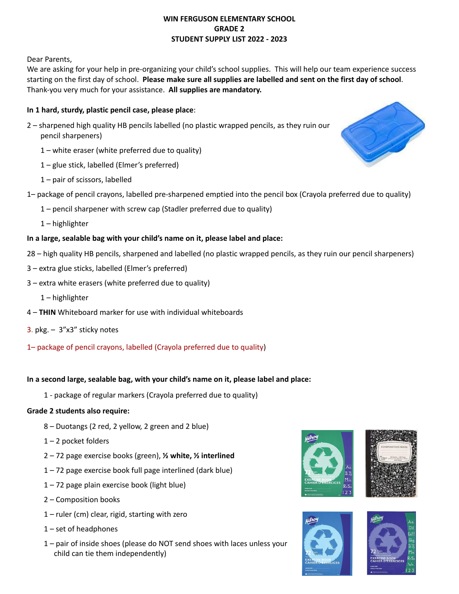### **WIN FERGUSON ELEMENTARY SCHOOL GRADE 2 STUDENT SUPPLY LIST 2022 - 2023**

Dear Parents,

We are asking for your help in pre-organizing your child's school supplies. This will help our team experience success starting on the first day of school. **Please make sure all supplies are labelled and sent on the first day of school**. Thank-you very much for your assistance. **All supplies are mandatory.**

# **In 1 hard, sturdy, plastic pencil case, please place**:

- 2 sharpened high quality HB pencils labelled (no plastic wrapped pencils, as they ruin our pencil sharpeners)
	- 1 white eraser (white preferred due to quality)
	- 1 glue stick, labelled (Elmer's preferred)
	- 1 pair of scissors, labelled
- 1– package of pencil crayons, labelled pre-sharpened emptied into the pencil box (Crayola preferred due to quality)
	- 1 pencil sharpener with screw cap (Stadler preferred due to quality)
	- 1 highlighter

# **In a large, sealable bag with your child's name on it, please label and place:**

- 28 high quality HB pencils, sharpened and labelled (no plastic wrapped pencils, as they ruin our pencil sharpeners)
- 3 extra glue sticks, labelled (Elmer's preferred)
- 3 extra white erasers (white preferred due to quality)
	- 1 highlighter
- 4 **THIN** Whiteboard marker for use with individual whiteboards
- 3. pkg. 3"x3" sticky notes
- 1– package of pencil crayons, labelled (Crayola preferred due to quality)

## **In a second large, sealable bag, with your child's name on it, please label and place:**

1 - package of regular markers (Crayola preferred due to quality)

## **Grade 2 students also require:**

- 8 Duotangs (2 red, 2 yellow, 2 green and 2 blue)
- $1 2$  pocket folders
- 2 72 page exercise books (green), **½ white, ½ interlined**
- 1 72 page exercise book full page interlined (dark blue)
- 1 72 page plain exercise book (light blue)
- 2 Composition books
- 1 ruler (cm) clear, rigid, starting with zero
- 1 set of headphones
- 1 pair of inside shoes (please do NOT send shoes with laces unless your child can tie them independently)









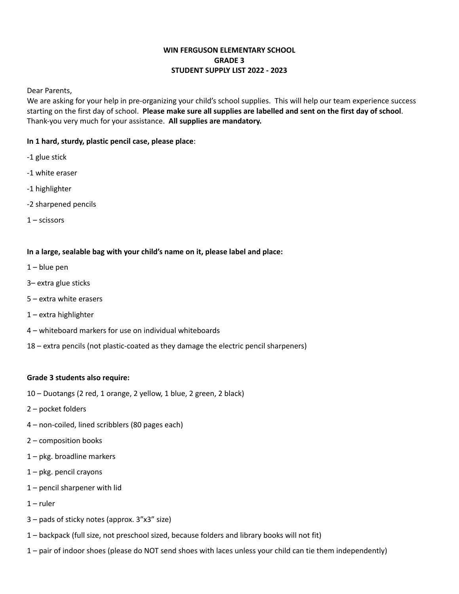## **WIN FERGUSON ELEMENTARY SCHOOL GRADE 3 STUDENT SUPPLY LIST 2022 - 2023**

Dear Parents,

We are asking for your help in pre-organizing your child's school supplies. This will help our team experience success starting on the first day of school. **Please make sure all supplies are labelled and sent on the first day of school**. Thank-you very much for your assistance. **All supplies are mandatory.**

### **In 1 hard, sturdy, plastic pencil case, please place**:

- -1 glue stick
- -1 white eraser
- -1 highlighter
- -2 sharpened pencils
- 1 scissors

#### **In a large, sealable bag with your child's name on it, please label and place:**

- $1 -$  blue pen
- 3– extra glue sticks
- 5 extra white erasers
- 1 extra highlighter
- 4 whiteboard markers for use on individual whiteboards
- 18 extra pencils (not plastic-coated as they damage the electric pencil sharpeners)

#### **Grade 3 students also require:**

- 10 Duotangs (2 red, 1 orange, 2 yellow, 1 blue, 2 green, 2 black)
- 2 pocket folders
- 4 non-coiled, lined scribblers (80 pages each)
- 2 composition books
- 1 pkg. broadline markers
- 1 pkg. pencil crayons
- 1 pencil sharpener with lid
- $1$  ruler
- 3 pads of sticky notes (approx. 3"x3" size)
- 1 backpack (full size, not preschool sized, because folders and library books will not fit)
- 1 pair of indoor shoes (please do NOT send shoes with laces unless your child can tie them independently)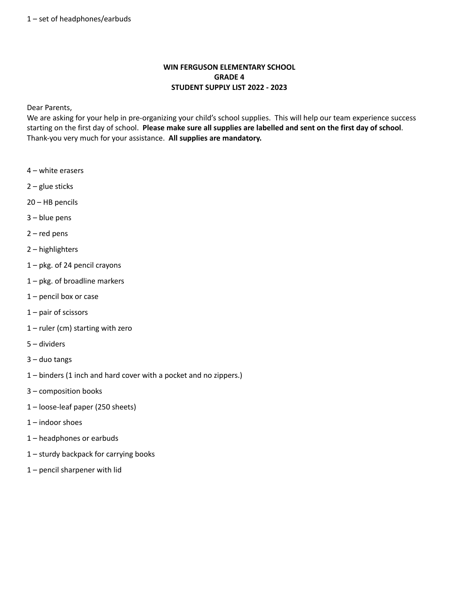# **WIN FERGUSON ELEMENTARY SCHOOL GRADE 4 STUDENT SUPPLY LIST 2022 - 2023**

Dear Parents,

We are asking for your help in pre-organizing your child's school supplies. This will help our team experience success starting on the first day of school. **Please make sure all supplies are labelled and sent on the first day of school**. Thank-you very much for your assistance. **All supplies are mandatory.**

- white erasers
- glue sticks
- HB pencils
- blue pens
- red pens
- highlighters
- pkg. of 24 pencil crayons
- pkg. of broadline markers
- pencil box or case
- pair of scissors
- ruler (cm) starting with zero
- dividers
- duo tangs
- binders (1 inch and hard cover with a pocket and no zippers.)
- composition books
- loose-leaf paper (250 sheets)
- indoor shoes
- headphones or earbuds
- sturdy backpack for carrying books
- pencil sharpener with lid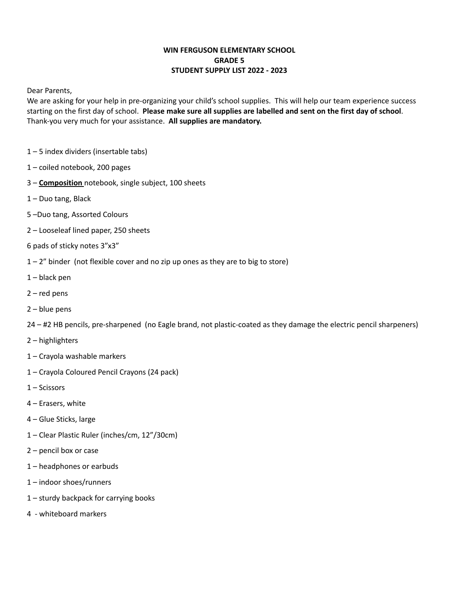## **WIN FERGUSON ELEMENTARY SCHOOL GRADE 5 STUDENT SUPPLY LIST 2022 - 2023**

Dear Parents,

We are asking for your help in pre-organizing your child's school supplies. This will help our team experience success starting on the first day of school. **Please make sure all supplies are labelled and sent on the first day of school**. Thank-you very much for your assistance. **All supplies are mandatory.**

- 5 index dividers (insertable tabs)
- coiled notebook, 200 pages
- **Composition** notebook, single subject, 100 sheets
- Duo tang, Black
- –Duo tang, Assorted Colours
- Looseleaf lined paper, 250 sheets
- pads of sticky notes 3"x3"
- $1 2$ " binder (not flexible cover and no zip up ones as they are to big to store)
- black pen
- red pens
- blue pens
- #2 HB pencils, pre-sharpened (no Eagle brand, not plastic-coated as they damage the electric pencil sharpeners)
- highlighters
- Crayola washable markers
- Crayola Coloured Pencil Crayons (24 pack)
- Scissors
- Erasers, white
- Glue Sticks, large
- Clear Plastic Ruler (inches/cm, 12"/30cm)
- pencil box or case
- headphones or earbuds
- indoor shoes/runners
- sturdy backpack for carrying books
- whiteboard markers